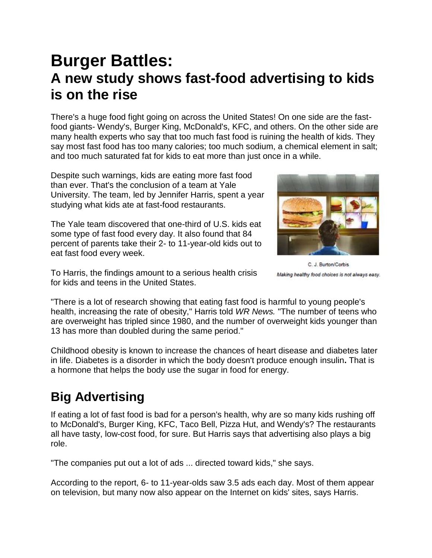# **Burger Battles: A new study shows fast-food advertising to kids is on the rise**

There's a huge food fight going on across the United States! On one side are the fastfood giants- Wendy's, Burger King, McDonald's, KFC, and others. On the other side are many health experts who say that too much fast food is ruining the health of kids. They say most fast food has too many calories; too much sodium, a chemical element in salt; and too much saturated fat for kids to eat more than just once in a while.

Despite such warnings, kids are eating more fast food than ever. That's the conclusion of a team at Yale University. The team, led by Jennifer Harris, spent a year studying what kids ate at fast-food restaurants.

The Yale team discovered that one-third of U.S. kids eat some type of fast food every day. It also found that 84 percent of parents take their 2- to 11-year-old kids out to eat fast food every week.



C. J. Burton/Corbis Making healthy food choices is not always easy.

To Harris, the findings amount to a serious health crisis for kids and teens in the United States.

"There is a lot of research showing that eating fast food is harmful to young people's health, increasing the rate of obesity," Harris told *WR News.* "The number of teens who are overweight has tripled since 1980, and the number of overweight kids younger than 13 has more than doubled during the same period."

Childhood obesity is known to increase the chances of heart disease and diabetes later in life. Diabetes is a disorder in which the body doesn't produce enough insulin**.** That is a hormone that helps the body use the sugar in food for energy.

### **Big Advertising**

If eating a lot of fast food is bad for a person's health, why are so many kids rushing off to McDonald's, Burger King, KFC, Taco Bell, Pizza Hut, and Wendy's? The restaurants all have tasty, low-cost food, for sure. But Harris says that advertising also plays a big role.

"The companies put out a lot of ads ... directed toward kids," she says.

According to the report, 6- to 11-year-olds saw 3.5 ads each day. Most of them appear on television, but many now also appear on the Internet on kids' sites, says Harris.